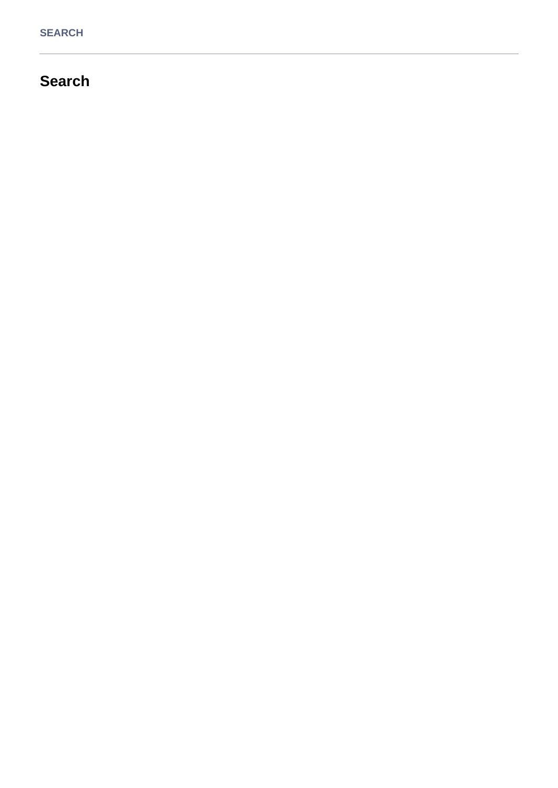# **Search**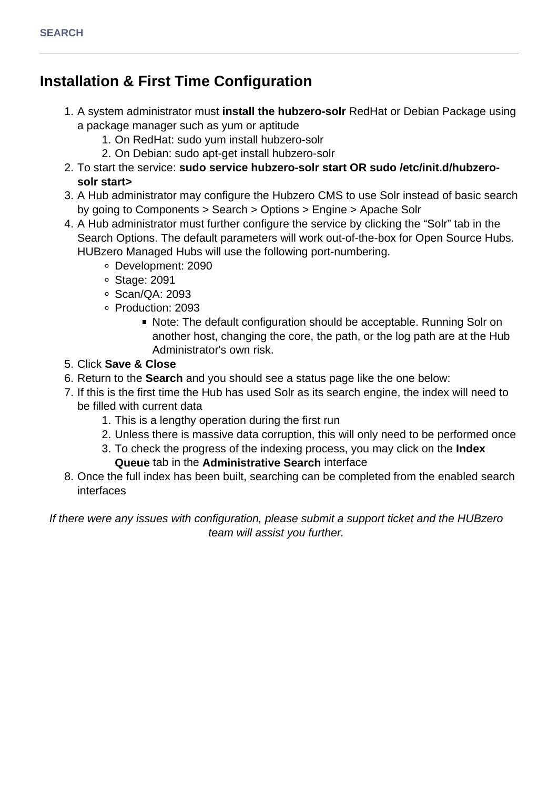# **Installation & First Time Configuration**

- 1. A system administrator must **install the hubzero-solr** RedHat or Debian Package using a package manager such as yum or aptitude
	- 1. On RedHat: sudo yum install hubzero-solr
	- 2. On Debian: sudo apt-get install hubzero-solr
- 2. To start the service: **sudo service hubzero-solr start OR sudo /etc/init.d/hubzerosolr start>**
- 3. A Hub administrator may configure the Hubzero CMS to use Solr instead of basic search by going to Components > Search > Options > Engine > Apache Solr
- 4. A Hub administrator must further configure the service by clicking the "Solr" tab in the Search Options. The default parameters will work out-of-the-box for Open Source Hubs. HUBzero Managed Hubs will use the following port-numbering.
	- Development: 2090
	- Stage: 2091
	- Scan/QA: 2093
	- Production: 2093
		- Note: The default configuration should be acceptable. Running Solr on another host, changing the core, the path, or the log path are at the Hub Administrator's own risk.
- 5. Click **Save & Close**
- 6. Return to the **Search** and you should see a status page like the one below:
- 7. If this is the first time the Hub has used Solr as its search engine, the index will need to be filled with current data
	- 1. This is a lengthy operation during the first run
	- 2. Unless there is massive data corruption, this will only need to be performed once
	- 3. To check the progress of the indexing process, you may click on the **Index Queue** tab in the **Administrative Search** interface
- 8. Once the full index has been built, searching can be completed from the enabled search interfaces

If there were any issues with configuration, please submit a support ticket and the HUBzero team will assist you further.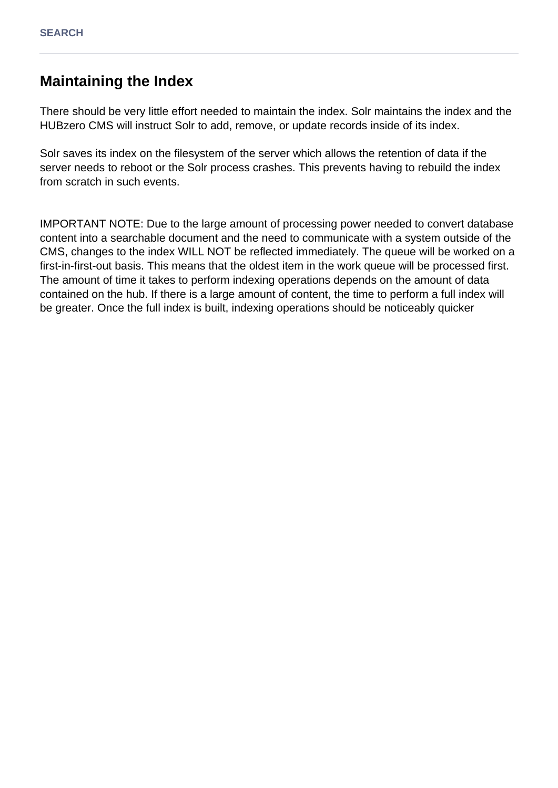## **Maintaining the Index**

There should be very little effort needed to maintain the index. Solr maintains the index and the HUBzero CMS will instruct Solr to add, remove, or update records inside of its index.

Solr saves its index on the filesystem of the server which allows the retention of data if the server needs to reboot or the Solr process crashes. This prevents having to rebuild the index from scratch in such events.

IMPORTANT NOTE: Due to the large amount of processing power needed to convert database content into a searchable document and the need to communicate with a system outside of the CMS, changes to the index WILL NOT be reflected immediately. The queue will be worked on a first-in-first-out basis. This means that the oldest item in the work queue will be processed first. The amount of time it takes to perform indexing operations depends on the amount of data contained on the hub. If there is a large amount of content, the time to perform a full index will be greater. Once the full index is built, indexing operations should be noticeably quicker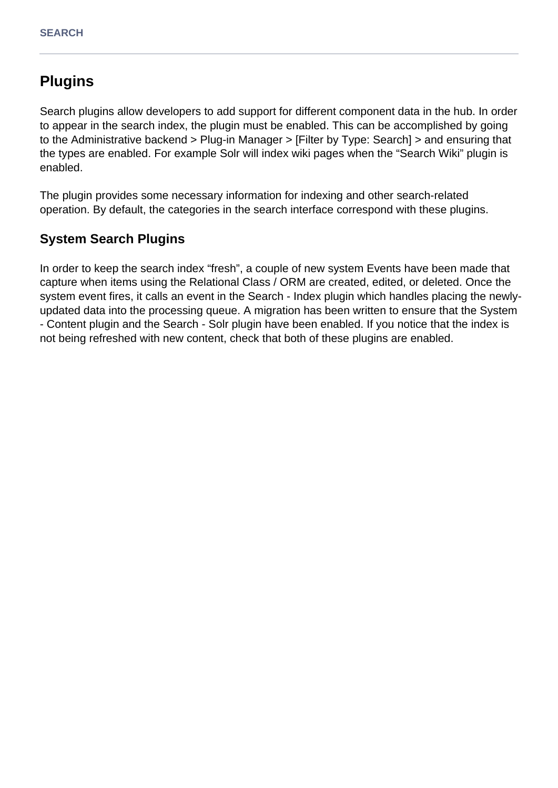# **Plugins**

Search plugins allow developers to add support for different component data in the hub. In order to appear in the search index, the plugin must be enabled. This can be accomplished by going to the Administrative backend > Plug-in Manager > [Filter by Type: Search] > and ensuring that the types are enabled. For example Solr will index wiki pages when the "Search Wiki" plugin is enabled.

The plugin provides some necessary information for indexing and other search-related operation. By default, the categories in the search interface correspond with these plugins.

### **System Search Plugins**

In order to keep the search index "fresh", a couple of new system Events have been made that capture when items using the Relational Class / ORM are created, edited, or deleted. Once the system event fires, it calls an event in the Search - Index plugin which handles placing the newlyupdated data into the processing queue. A migration has been written to ensure that the System - Content plugin and the Search - Solr plugin have been enabled. If you notice that the index is not being refreshed with new content, check that both of these plugins are enabled.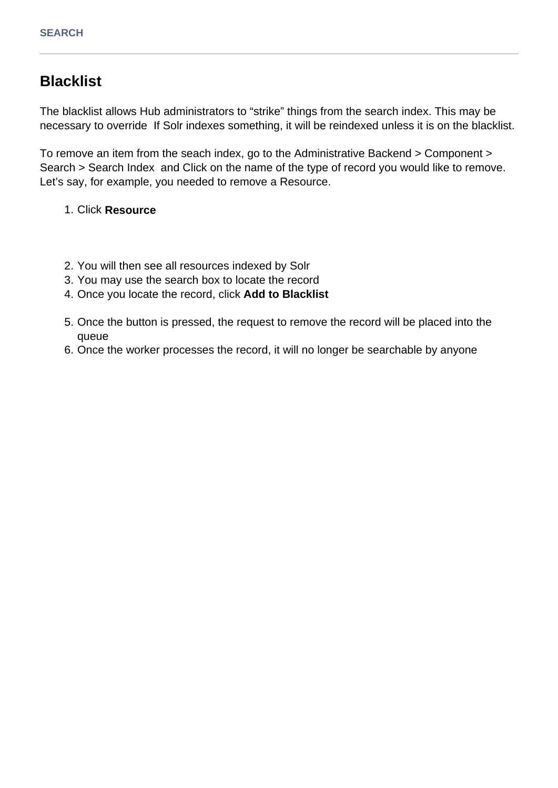## **Blacklist**

The blacklist allows Hub administrators to "strike" things from the search index. This may be necessary to override If Solr indexes something, it will be reindexed unless it is on the blacklist.

To remove an item from the seach index, go to the Administrative Backend > Component > Search > Search Index and Click on the name of the type of record you would like to remove. Let's say, for example, you needed to remove a Resource.

#### 1. Click **Resource**

- 2. You will then see all resources indexed by Solr
- 3. You may use the search box to locate the record
- 4. Once you locate the record, click **Add to Blacklist**
- 5. Once the button is pressed, the request to remove the record will be placed into the queue
- 6. Once the worker processes the record, it will no longer be searchable by anyone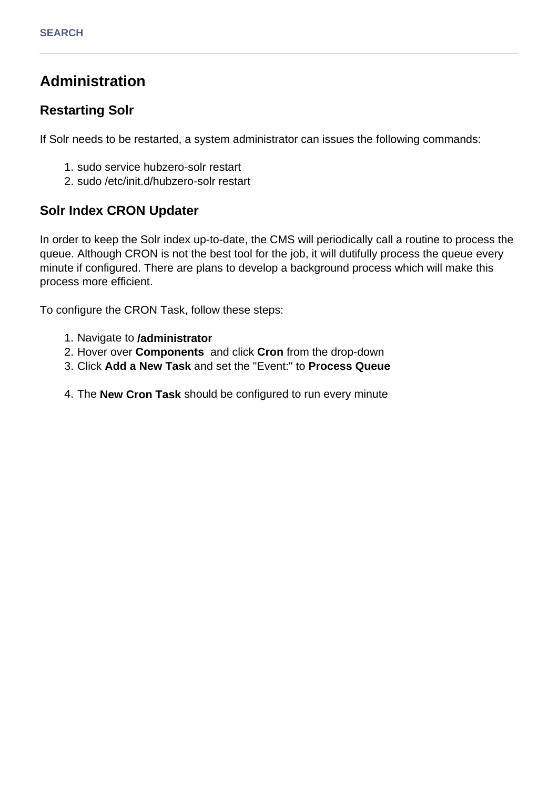# **Administration**

### **Restarting Solr**

If Solr needs to be restarted, a system administrator can issues the following commands:

- 1. sudo service hubzero-solr restart
- 2. sudo /etc/init.d/hubzero-solr restart

### **Solr Index CRON Updater**

In order to keep the Solr index up-to-date, the CMS will periodically call a routine to process the queue. Although CRON is not the best tool for the job, it will dutifully process the queue every minute if configured. There are plans to develop a background process which will make this process more efficient.

To configure the CRON Task, follow these steps:

- 1. Navigate to **/administrator**
- 2. Hover over **Components** and click **Cron** from the drop-down
- 3. Click **Add a New Task** and set the "Event:" to **Process Queue**
- 4. The **New Cron Task** should be configured to run every minute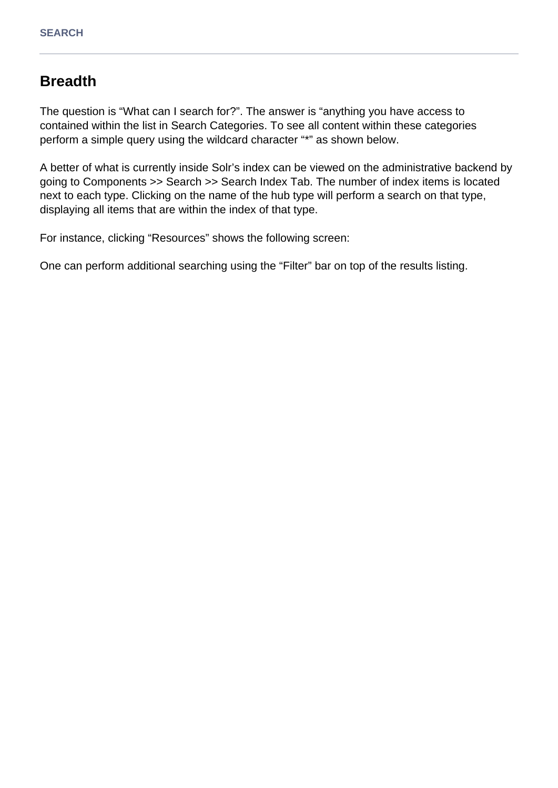## **Breadth**

The question is "What can I search for?". The answer is "anything you have access to contained within the list in Search Categories. To see all content within these categories perform a simple query using the wildcard character "\*" as shown below.

A better of what is currently inside Solr's index can be viewed on the administrative backend by going to Components >> Search >> Search Index Tab. The number of index items is located next to each type. Clicking on the name of the hub type will perform a search on that type, displaying all items that are within the index of that type.

For instance, clicking "Resources" shows the following screen:

One can perform additional searching using the "Filter" bar on top of the results listing.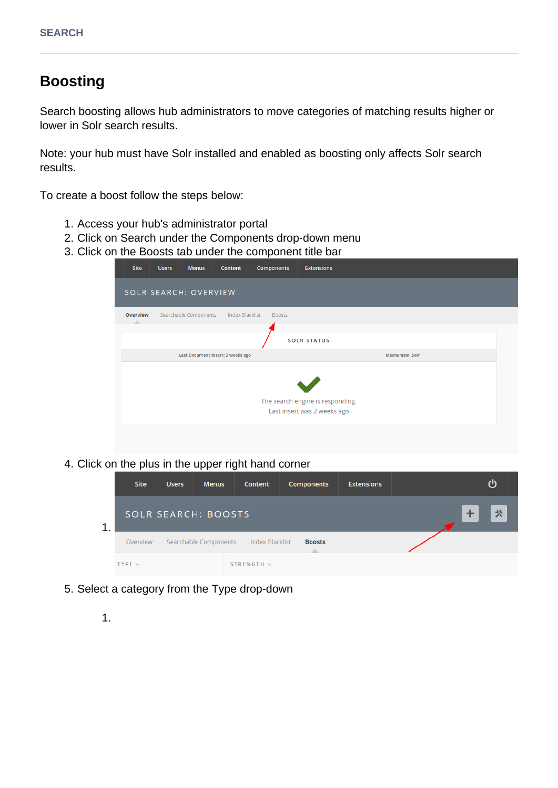# **Boosting**

Search boosting allows hub administrators to move categories of matching results higher or lower in Solr search results.

Note: your hub must have Solr installed and enabled as boosting only affects Solr search results.

To create a boost follow the steps below:

- 1. Access your hub's administrator portal
- 2. Click on Search under the Components drop-down menu
- 3. Click on the Boosts tab under the component title bar

| Site | <b>Users</b>                                                                 | <b>Menus</b> | Content | Components | <b>Extensions</b> |  |  |  |  |  |  |
|------|------------------------------------------------------------------------------|--------------|---------|------------|-------------------|--|--|--|--|--|--|
|      | SOLR SEARCH: OVERVIEW                                                        |              |         |            |                   |  |  |  |  |  |  |
| Δ    | <b>Overview</b><br>Searchable Components<br>Index Blacklist<br><b>Boosts</b> |              |         |            |                   |  |  |  |  |  |  |
|      | <b>SOLR STATUS</b>                                                           |              |         |            |                   |  |  |  |  |  |  |
|      | Last Document Insert: 2 weeks ago<br><b>Mechanism: Solr</b>                  |              |         |            |                   |  |  |  |  |  |  |
|      | The search engine is responding.<br>Last insert was 2 weeks ago              |              |         |            |                   |  |  |  |  |  |  |
|      |                                                                              |              |         |            |                   |  |  |  |  |  |  |

4. Click on the plus in the upper right hand corner

|   | <b>Site</b> | <b>Users</b>                          | <b>Menus</b> | Content         | <b>Components</b> | <b>Extensions</b> | ്യ |
|---|-------------|---------------------------------------|--------------|-----------------|-------------------|-------------------|----|
| 1 |             | <b>SOLR SEARCH: BOOSTS</b>            | 父            |                 |                   |                   |    |
|   | Overview    | Searchable Components Index Blacklist |              |                 |                   |                   |    |
|   | $TYPE \vee$ |                                       |              | STRENGTH $\vee$ |                   |                   |    |

- 5. Select a category from the Type drop-down
	- 1.